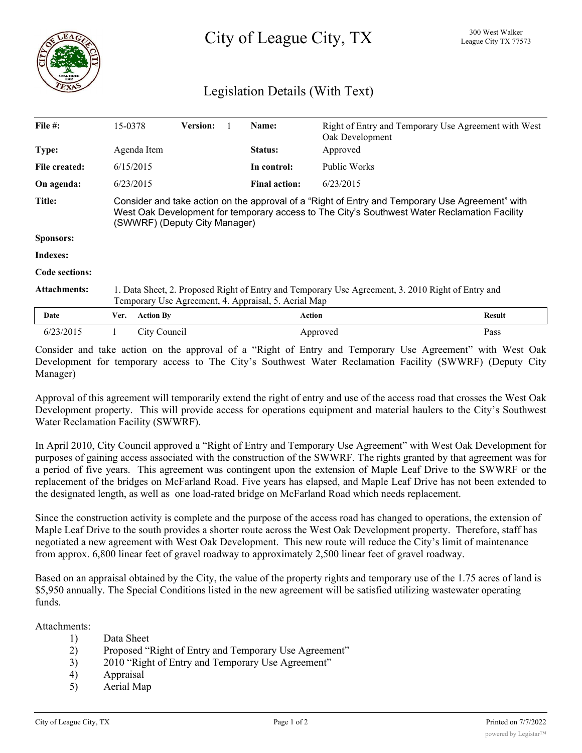City of League City, TX <sup>300 West Walker</sup>

## Legislation Details (With Text)

| File $#$ :          | 15-0378                                                                                                                                                                                                                          | <b>Version:</b> |  | Name:                | Right of Entry and Temporary Use Agreement with West<br>Oak Development |               |
|---------------------|----------------------------------------------------------------------------------------------------------------------------------------------------------------------------------------------------------------------------------|-----------------|--|----------------------|-------------------------------------------------------------------------|---------------|
| Type:               | Agenda Item                                                                                                                                                                                                                      |                 |  | Status:              | Approved                                                                |               |
| File created:       | 6/15/2015                                                                                                                                                                                                                        |                 |  | In control:          | Public Works                                                            |               |
| On agenda:          | 6/23/2015                                                                                                                                                                                                                        |                 |  | <b>Final action:</b> | 6/23/2015                                                               |               |
| Title:              | Consider and take action on the approval of a "Right of Entry and Temporary Use Agreement" with<br>West Oak Development for temporary access to The City's Southwest Water Reclamation Facility<br>(SWWRF) (Deputy City Manager) |                 |  |                      |                                                                         |               |
| <b>Sponsors:</b>    |                                                                                                                                                                                                                                  |                 |  |                      |                                                                         |               |
| Indexes:            |                                                                                                                                                                                                                                  |                 |  |                      |                                                                         |               |
| Code sections:      |                                                                                                                                                                                                                                  |                 |  |                      |                                                                         |               |
| <b>Attachments:</b> | 1. Data Sheet, 2. Proposed Right of Entry and Temporary Use Agreement, 3. 2010 Right of Entry and<br>Temporary Use Agreement, 4. Appraisal, 5. Aerial Map                                                                        |                 |  |                      |                                                                         |               |
| Date                | <b>Action By</b><br>Ver.                                                                                                                                                                                                         |                 |  |                      | Action                                                                  | <b>Result</b> |
| 6/23/2015           | City Council                                                                                                                                                                                                                     |                 |  |                      | Approved                                                                | Pass          |

Consider and take action on the approval of a "Right of Entry and Temporary Use Agreement" with West Oak Development for temporary access to The City's Southwest Water Reclamation Facility (SWWRF) (Deputy City Manager)

Approval of this agreement will temporarily extend the right of entry and use of the access road that crosses the West Oak Development property. This will provide access for operations equipment and material haulers to the City's Southwest Water Reclamation Facility (SWWRF).

In April 2010, City Council approved a "Right of Entry and Temporary Use Agreement" with West Oak Development for purposes of gaining access associated with the construction of the SWWRF. The rights granted by that agreement was for a period of five years. This agreement was contingent upon the extension of Maple Leaf Drive to the SWWRF or the replacement of the bridges on McFarland Road. Five years has elapsed, and Maple Leaf Drive has not been extended to the designated length, as well as one load-rated bridge on McFarland Road which needs replacement.

Since the construction activity is complete and the purpose of the access road has changed to operations, the extension of Maple Leaf Drive to the south provides a shorter route across the West Oak Development property. Therefore, staff has negotiated a new agreement with West Oak Development. This new route will reduce the City's limit of maintenance from approx. 6,800 linear feet of gravel roadway to approximately 2,500 linear feet of gravel roadway.

Based on an appraisal obtained by the City, the value of the property rights and temporary use of the 1.75 acres of land is \$5,950 annually. The Special Conditions listed in the new agreement will be satisfied utilizing wastewater operating funds.

Attachments:

- 1) Data Sheet
- 2) Proposed "Right of Entry and Temporary Use Agreement"
- 3) 2010 "Right of Entry and Temporary Use Agreement"
- 4) Appraisal
- 5) Aerial Map